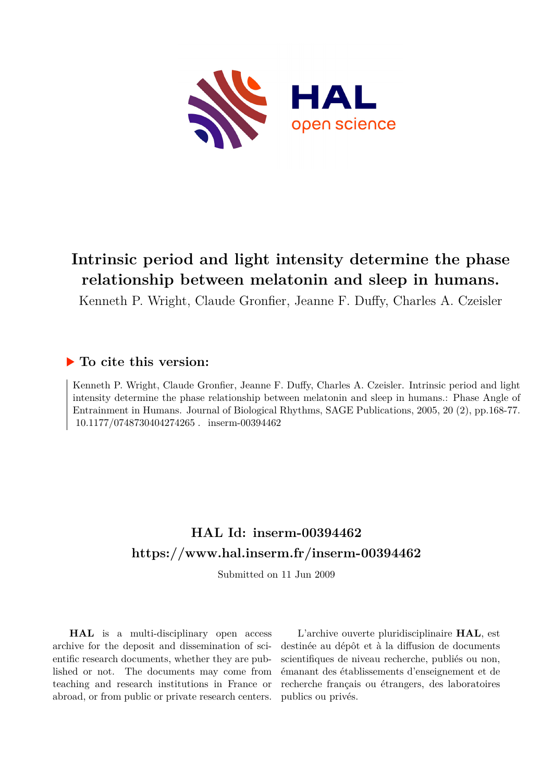

# **Intrinsic period and light intensity determine the phase relationship between melatonin and sleep in humans.**

Kenneth P. Wright, Claude Gronfier, Jeanne F. Duffy, Charles A. Czeisler

### **To cite this version:**

Kenneth P. Wright, Claude Gronfier, Jeanne F. Duffy, Charles A. Czeisler. Intrinsic period and light intensity determine the phase relationship between melatonin and sleep in humans.: Phase Angle of Entrainment in Humans. Journal of Biological Rhythms, SAGE Publications, 2005, 20 (2), pp.168-77. 10.1177/0748730404274265. inserm-00394462

# **HAL Id: inserm-00394462 <https://www.hal.inserm.fr/inserm-00394462>**

Submitted on 11 Jun 2009

**HAL** is a multi-disciplinary open access archive for the deposit and dissemination of scientific research documents, whether they are published or not. The documents may come from teaching and research institutions in France or abroad, or from public or private research centers.

L'archive ouverte pluridisciplinaire **HAL**, est destinée au dépôt et à la diffusion de documents scientifiques de niveau recherche, publiés ou non, émanant des établissements d'enseignement et de recherche français ou étrangers, des laboratoires publics ou privés.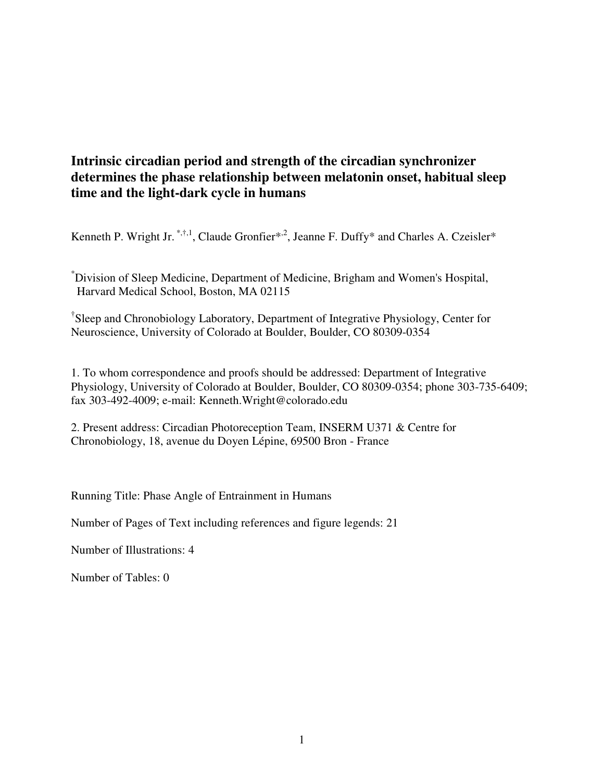## **Intrinsic circadian period and strength of the circadian synchronizer determines the phase relationship between melatonin onset, habitual sleep time and the light-dark cycle in humans**

Kenneth P. Wright Jr.  $\overset{*,\dagger,1}{\ldots}$ , Claude Gronfier<sup>\*,2</sup>, Jeanne F. Duffy<sup>\*</sup> and Charles A. Czeisler<sup>\*</sup>

\*Division of Sleep Medicine, Department of Medicine, Brigham and Women's Hospital, Harvard Medical School, Boston, MA 02115

† Sleep and Chronobiology Laboratory, Department of Integrative Physiology, Center for Neuroscience, University of Colorado at Boulder, Boulder, CO 80309-0354

1. To whom correspondence and proofs should be addressed: Department of Integrative Physiology, University of Colorado at Boulder, Boulder, CO 80309-0354; phone 303-735-6409; fax 303-492-4009; e-mail: Kenneth.Wright@colorado.edu

2. Present address: Circadian Photoreception Team, INSERM U371 & Centre for Chronobiology, 18, avenue du Doyen Lépine, 69500 Bron - France

Running Title: Phase Angle of Entrainment in Humans

Number of Pages of Text including references and figure legends: 21

Number of Illustrations: 4

Number of Tables: 0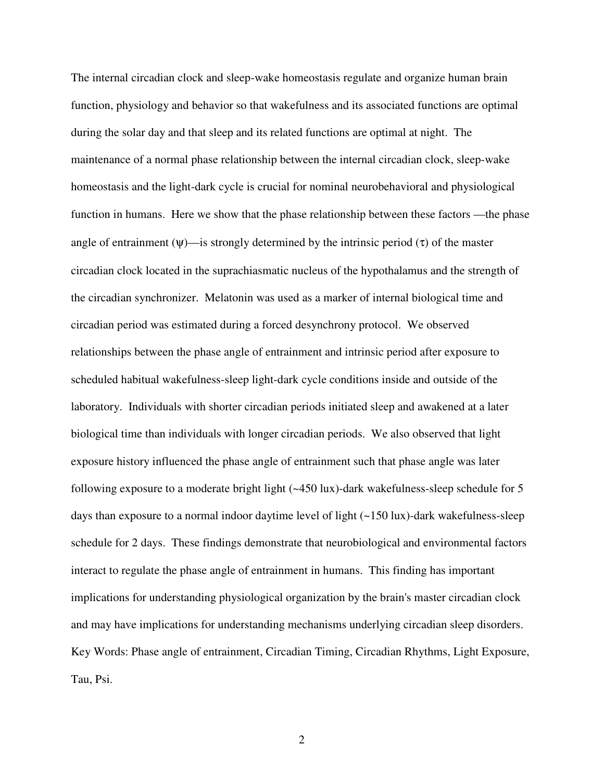The internal circadian clock and sleep-wake homeostasis regulate and organize human brain function, physiology and behavior so that wakefulness and its associated functions are optimal during the solar day and that sleep and its related functions are optimal at night. The maintenance of a normal phase relationship between the internal circadian clock, sleep-wake homeostasis and the light-dark cycle is crucial for nominal neurobehavioral and physiological function in humans. Here we show that the phase relationship between these factors —the phase angle of entrainment  $(\psi)$ —is strongly determined by the intrinsic period  $(\tau)$  of the master circadian clock located in the suprachiasmatic nucleus of the hypothalamus and the strength of the circadian synchronizer. Melatonin was used as a marker of internal biological time and circadian period was estimated during a forced desynchrony protocol. We observed relationships between the phase angle of entrainment and intrinsic period after exposure to scheduled habitual wakefulness-sleep light-dark cycle conditions inside and outside of the laboratory. Individuals with shorter circadian periods initiated sleep and awakened at a later biological time than individuals with longer circadian periods. We also observed that light exposure history influenced the phase angle of entrainment such that phase angle was later following exposure to a moderate bright light (~450 lux)-dark wakefulness-sleep schedule for 5 days than exposure to a normal indoor daytime level of light (~150 lux)-dark wakefulness-sleep schedule for 2 days. These findings demonstrate that neurobiological and environmental factors interact to regulate the phase angle of entrainment in humans. This finding has important implications for understanding physiological organization by the brain's master circadian clock and may have implications for understanding mechanisms underlying circadian sleep disorders. Key Words: Phase angle of entrainment, Circadian Timing, Circadian Rhythms, Light Exposure, Tau, Psi.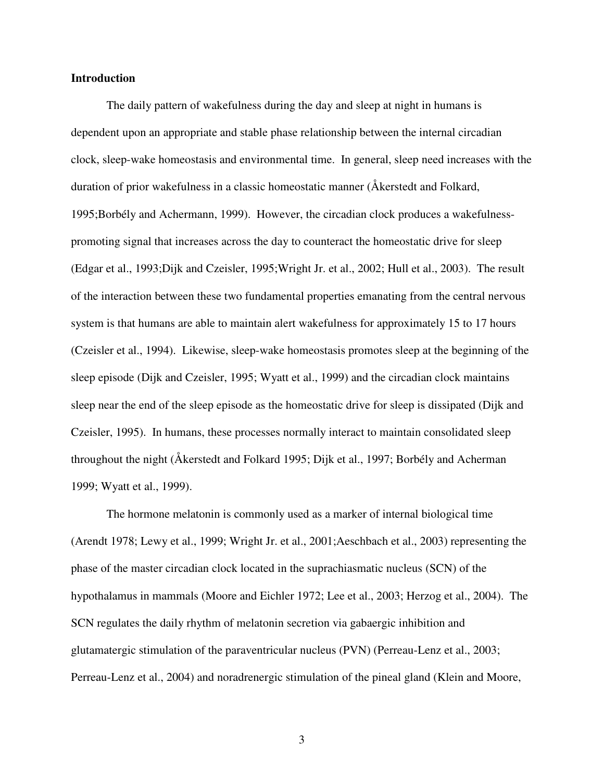#### **Introduction**

 The daily pattern of wakefulness during the day and sleep at night in humans is dependent upon an appropriate and stable phase relationship between the internal circadian clock, sleep-wake homeostasis and environmental time. In general, sleep need increases with the duration of prior wakefulness in a classic homeostatic manner (Åkerstedt and Folkard, 1995;Borbély and Achermann, 1999). However, the circadian clock produces a wakefulnesspromoting signal that increases across the day to counteract the homeostatic drive for sleep (Edgar et al., 1993;Dijk and Czeisler, 1995;Wright Jr. et al., 2002; Hull et al., 2003). The result of the interaction between these two fundamental properties emanating from the central nervous system is that humans are able to maintain alert wakefulness for approximately 15 to 17 hours (Czeisler et al., 1994). Likewise, sleep-wake homeostasis promotes sleep at the beginning of the sleep episode (Dijk and Czeisler, 1995; Wyatt et al., 1999) and the circadian clock maintains sleep near the end of the sleep episode as the homeostatic drive for sleep is dissipated (Dijk and Czeisler, 1995). In humans, these processes normally interact to maintain consolidated sleep throughout the night (Åkerstedt and Folkard 1995; Dijk et al., 1997; Borbély and Acherman 1999; Wyatt et al., 1999).

 The hormone melatonin is commonly used as a marker of internal biological time (Arendt 1978; Lewy et al., 1999; Wright Jr. et al., 2001;Aeschbach et al., 2003) representing the phase of the master circadian clock located in the suprachiasmatic nucleus (SCN) of the hypothalamus in mammals (Moore and Eichler 1972; Lee et al., 2003; Herzog et al., 2004). The SCN regulates the daily rhythm of melatonin secretion via gabaergic inhibition and glutamatergic stimulation of the paraventricular nucleus (PVN) (Perreau-Lenz et al., 2003; Perreau-Lenz et al., 2004) and noradrenergic stimulation of the pineal gland (Klein and Moore,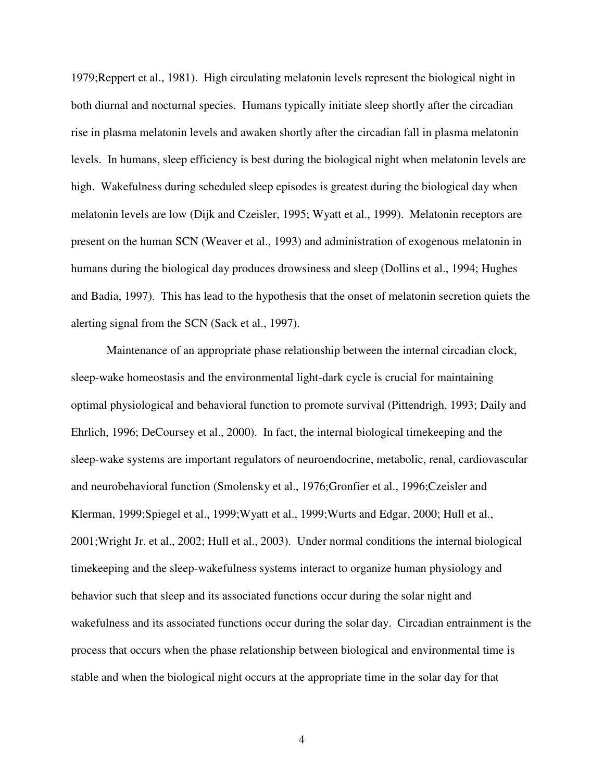1979;Reppert et al., 1981). High circulating melatonin levels represent the biological night in both diurnal and nocturnal species. Humans typically initiate sleep shortly after the circadian rise in plasma melatonin levels and awaken shortly after the circadian fall in plasma melatonin levels. In humans, sleep efficiency is best during the biological night when melatonin levels are high. Wakefulness during scheduled sleep episodes is greatest during the biological day when melatonin levels are low (Dijk and Czeisler, 1995; Wyatt et al., 1999). Melatonin receptors are present on the human SCN (Weaver et al., 1993) and administration of exogenous melatonin in humans during the biological day produces drowsiness and sleep (Dollins et al., 1994; Hughes and Badia, 1997). This has lead to the hypothesis that the onset of melatonin secretion quiets the alerting signal from the SCN (Sack et al., 1997).

 Maintenance of an appropriate phase relationship between the internal circadian clock, sleep-wake homeostasis and the environmental light-dark cycle is crucial for maintaining optimal physiological and behavioral function to promote survival (Pittendrigh, 1993; Daily and Ehrlich, 1996; DeCoursey et al., 2000). In fact, the internal biological timekeeping and the sleep-wake systems are important regulators of neuroendocrine, metabolic, renal, cardiovascular and neurobehavioral function (Smolensky et al., 1976;Gronfier et al., 1996;Czeisler and Klerman, 1999;Spiegel et al., 1999;Wyatt et al., 1999;Wurts and Edgar, 2000; Hull et al., 2001;Wright Jr. et al., 2002; Hull et al., 2003). Under normal conditions the internal biological timekeeping and the sleep-wakefulness systems interact to organize human physiology and behavior such that sleep and its associated functions occur during the solar night and wakefulness and its associated functions occur during the solar day. Circadian entrainment is the process that occurs when the phase relationship between biological and environmental time is stable and when the biological night occurs at the appropriate time in the solar day for that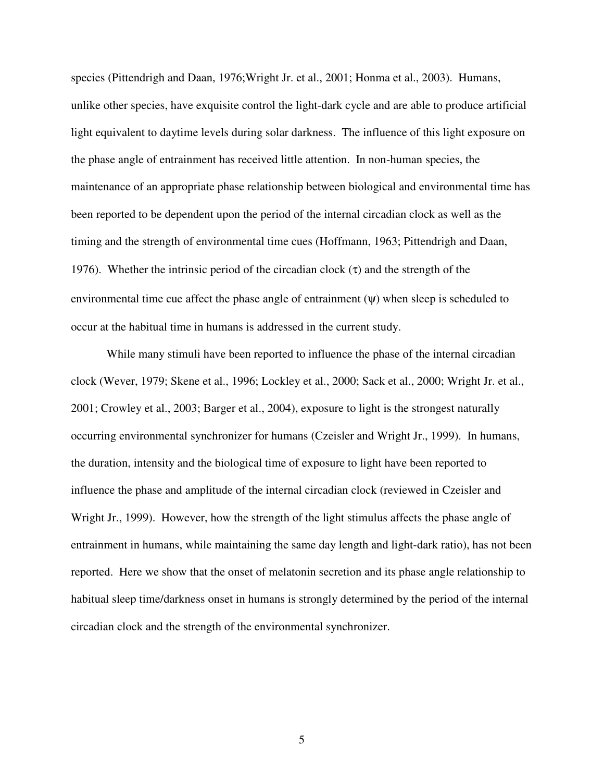species (Pittendrigh and Daan, 1976;Wright Jr. et al., 2001; Honma et al., 2003). Humans, unlike other species, have exquisite control the light-dark cycle and are able to produce artificial light equivalent to daytime levels during solar darkness. The influence of this light exposure on the phase angle of entrainment has received little attention. In non-human species, the maintenance of an appropriate phase relationship between biological and environmental time has been reported to be dependent upon the period of the internal circadian clock as well as the timing and the strength of environmental time cues (Hoffmann, 1963; Pittendrigh and Daan, 1976). Whether the intrinsic period of the circadian clock  $(\tau)$  and the strength of the environmental time cue affect the phase angle of entrainment  $(\psi)$  when sleep is scheduled to occur at the habitual time in humans is addressed in the current study.

While many stimuli have been reported to influence the phase of the internal circadian clock (Wever, 1979; Skene et al., 1996; Lockley et al., 2000; Sack et al., 2000; Wright Jr. et al., 2001; Crowley et al., 2003; Barger et al., 2004), exposure to light is the strongest naturally occurring environmental synchronizer for humans (Czeisler and Wright Jr., 1999). In humans, the duration, intensity and the biological time of exposure to light have been reported to influence the phase and amplitude of the internal circadian clock (reviewed in Czeisler and Wright Jr., 1999). However, how the strength of the light stimulus affects the phase angle of entrainment in humans, while maintaining the same day length and light-dark ratio), has not been reported. Here we show that the onset of melatonin secretion and its phase angle relationship to habitual sleep time/darkness onset in humans is strongly determined by the period of the internal circadian clock and the strength of the environmental synchronizer.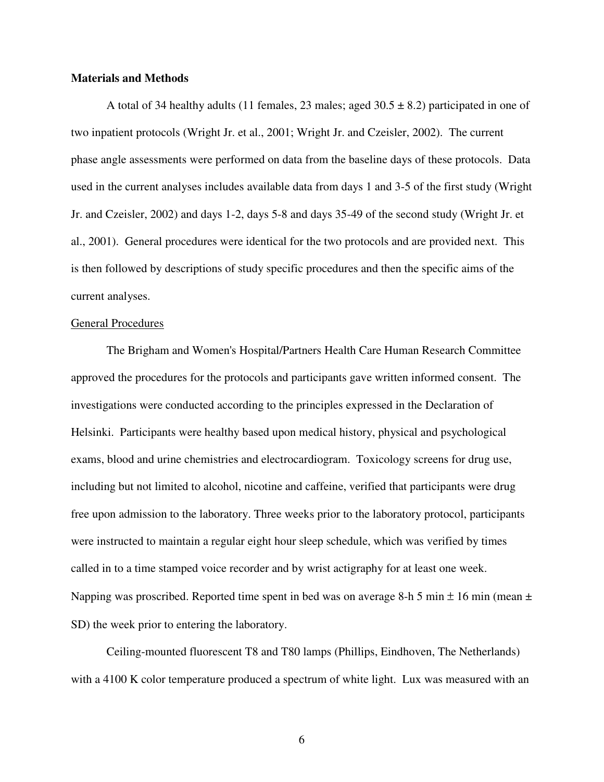### **Materials and Methods**

A total of 34 healthy adults (11 females, 23 males; aged  $30.5 \pm 8.2$ ) participated in one of two inpatient protocols (Wright Jr. et al., 2001; Wright Jr. and Czeisler, 2002). The current phase angle assessments were performed on data from the baseline days of these protocols. Data used in the current analyses includes available data from days 1 and 3-5 of the first study (Wright Jr. and Czeisler, 2002) and days 1-2, days 5-8 and days 35-49 of the second study (Wright Jr. et al., 2001). General procedures were identical for the two protocols and are provided next. This is then followed by descriptions of study specific procedures and then the specific aims of the current analyses.

#### General Procedures

The Brigham and Women's Hospital/Partners Health Care Human Research Committee approved the procedures for the protocols and participants gave written informed consent. The investigations were conducted according to the principles expressed in the Declaration of Helsinki. Participants were healthy based upon medical history, physical and psychological exams, blood and urine chemistries and electrocardiogram. Toxicology screens for drug use, including but not limited to alcohol, nicotine and caffeine, verified that participants were drug free upon admission to the laboratory. Three weeks prior to the laboratory protocol, participants were instructed to maintain a regular eight hour sleep schedule, which was verified by times called in to a time stamped voice recorder and by wrist actigraphy for at least one week. Napping was proscribed. Reported time spent in bed was on average 8-h 5 min  $\pm$  16 min (mean  $\pm$ SD) the week prior to entering the laboratory.

Ceiling-mounted fluorescent T8 and T80 lamps (Phillips, Eindhoven, The Netherlands) with a 4100 K color temperature produced a spectrum of white light. Lux was measured with an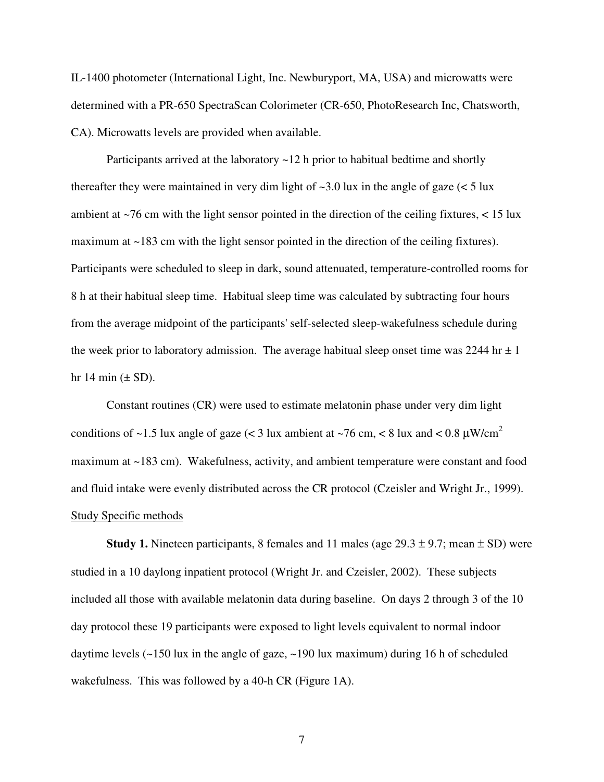IL-1400 photometer (International Light, Inc. Newburyport, MA, USA) and microwatts were determined with a PR-650 SpectraScan Colorimeter (CR-650, PhotoResearch Inc, Chatsworth, CA). Microwatts levels are provided when available.

Participants arrived at the laboratory  $\sim$  12 h prior to habitual bedtime and shortly thereafter they were maintained in very dim light of  $\sim$ 3.0 lux in the angle of gaze ( $\lt$  5 lux ambient at  $\sim$ 76 cm with the light sensor pointed in the direction of the ceiling fixtures,  $\lt$  15 lux maximum at ~183 cm with the light sensor pointed in the direction of the ceiling fixtures). Participants were scheduled to sleep in dark, sound attenuated, temperature-controlled rooms for 8 h at their habitual sleep time. Habitual sleep time was calculated by subtracting four hours from the average midpoint of the participants' self-selected sleep-wakefulness schedule during the week prior to laboratory admission. The average habitual sleep onset time was 2244 hr  $\pm$  1 hr 14 min  $(\pm SD)$ .

Constant routines (CR) were used to estimate melatonin phase under very dim light conditions of ~1.5 lux angle of gaze (< 3 lux ambient at ~76 cm, < 8 lux and < 0.8  $\mu$ W/cm<sup>2</sup> maximum at ~183 cm). Wakefulness, activity, and ambient temperature were constant and food and fluid intake were evenly distributed across the CR protocol (Czeisler and Wright Jr., 1999). Study Specific methods

**Study 1.** Nineteen participants, 8 females and 11 males (age  $29.3 \pm 9.7$ ; mean  $\pm$  SD) were studied in a 10 daylong inpatient protocol (Wright Jr. and Czeisler, 2002). These subjects included all those with available melatonin data during baseline. On days 2 through 3 of the 10 day protocol these 19 participants were exposed to light levels equivalent to normal indoor daytime levels  $\left(\sim 150 \text{ lux} \text{ in the angle of gaze}, \sim 190 \text{ lux maximum} \right)$  during 16 h of scheduled wakefulness. This was followed by a 40-h CR (Figure 1A).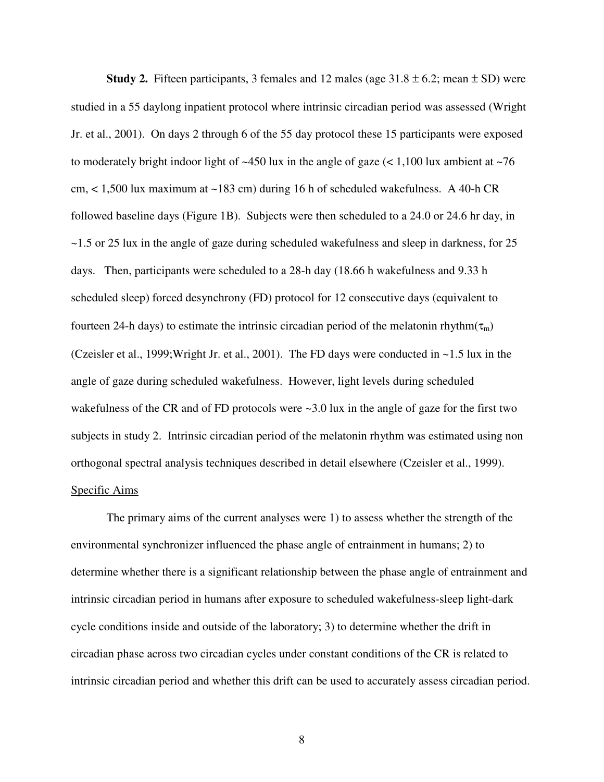**Study 2.** Fifteen participants, 3 females and 12 males (age  $31.8 \pm 6.2$ ; mean  $\pm$  SD) were studied in a 55 daylong inpatient protocol where intrinsic circadian period was assessed (Wright Jr. et al., 2001). On days 2 through 6 of the 55 day protocol these 15 participants were exposed to moderately bright indoor light of  $\sim$ 450 lux in the angle of gaze (< 1,100 lux ambient at  $\sim$ 76 cm, < 1,500 lux maximum at ~183 cm) during 16 h of scheduled wakefulness. A 40-h CR followed baseline days (Figure 1B). Subjects were then scheduled to a 24.0 or 24.6 hr day, in ~1.5 or 25 lux in the angle of gaze during scheduled wakefulness and sleep in darkness, for 25 days. Then, participants were scheduled to a 28-h day (18.66 h wakefulness and 9.33 h scheduled sleep) forced desynchrony (FD) protocol for 12 consecutive days (equivalent to fourteen 24-h days) to estimate the intrinsic circadian period of the melatonin rhythm( $\tau_m$ ) (Czeisler et al., 1999;Wright Jr. et al., 2001). The FD days were conducted in ~1.5 lux in the angle of gaze during scheduled wakefulness. However, light levels during scheduled wakefulness of the CR and of FD protocols were  $\sim$ 3.0 lux in the angle of gaze for the first two subjects in study 2. Intrinsic circadian period of the melatonin rhythm was estimated using non orthogonal spectral analysis techniques described in detail elsewhere (Czeisler et al., 1999). Specific Aims

The primary aims of the current analyses were 1) to assess whether the strength of the environmental synchronizer influenced the phase angle of entrainment in humans; 2) to determine whether there is a significant relationship between the phase angle of entrainment and intrinsic circadian period in humans after exposure to scheduled wakefulness-sleep light-dark cycle conditions inside and outside of the laboratory; 3) to determine whether the drift in circadian phase across two circadian cycles under constant conditions of the CR is related to intrinsic circadian period and whether this drift can be used to accurately assess circadian period.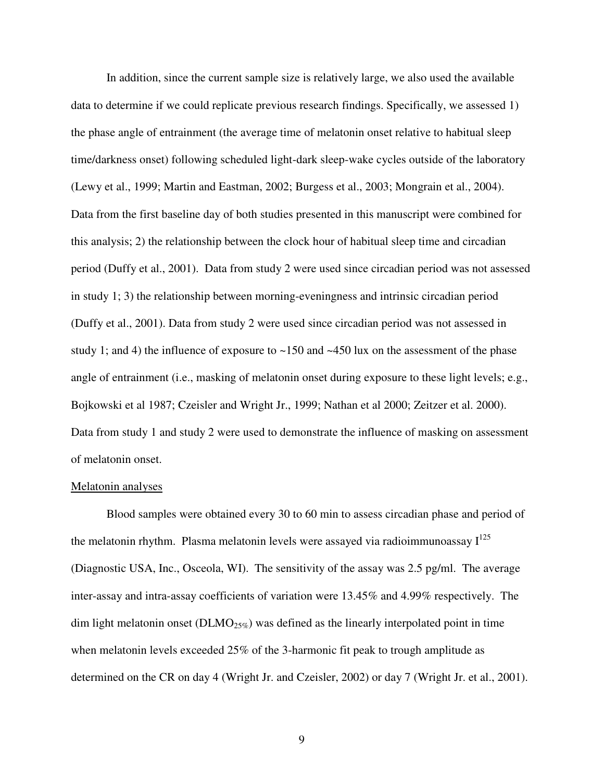In addition, since the current sample size is relatively large, we also used the available data to determine if we could replicate previous research findings. Specifically, we assessed 1) the phase angle of entrainment (the average time of melatonin onset relative to habitual sleep time/darkness onset) following scheduled light-dark sleep-wake cycles outside of the laboratory (Lewy et al., 1999; Martin and Eastman, 2002; Burgess et al., 2003; Mongrain et al., 2004). Data from the first baseline day of both studies presented in this manuscript were combined for this analysis; 2) the relationship between the clock hour of habitual sleep time and circadian period (Duffy et al., 2001). Data from study 2 were used since circadian period was not assessed in study 1; 3) the relationship between morning-eveningness and intrinsic circadian period (Duffy et al., 2001). Data from study 2 were used since circadian period was not assessed in study 1; and 4) the influence of exposure to  $\sim$ 150 and  $\sim$ 450 lux on the assessment of the phase angle of entrainment (i.e., masking of melatonin onset during exposure to these light levels; e.g., Bojkowski et al 1987; Czeisler and Wright Jr., 1999; Nathan et al 2000; Zeitzer et al. 2000). Data from study 1 and study 2 were used to demonstrate the influence of masking on assessment of melatonin onset.

#### Melatonin analyses

 Blood samples were obtained every 30 to 60 min to assess circadian phase and period of the melatonin rhythm. Plasma melatonin levels were assayed via radioimmunoassay  $I^{125}$ (Diagnostic USA, Inc., Osceola, WI). The sensitivity of the assay was 2.5 pg/ml. The average inter-assay and intra-assay coefficients of variation were 13.45% and 4.99% respectively. The dim light melatonin onset ( $\text{DLMO}_{25\%}$ ) was defined as the linearly interpolated point in time when melatonin levels exceeded 25% of the 3-harmonic fit peak to trough amplitude as determined on the CR on day 4 (Wright Jr. and Czeisler, 2002) or day 7 (Wright Jr. et al., 2001).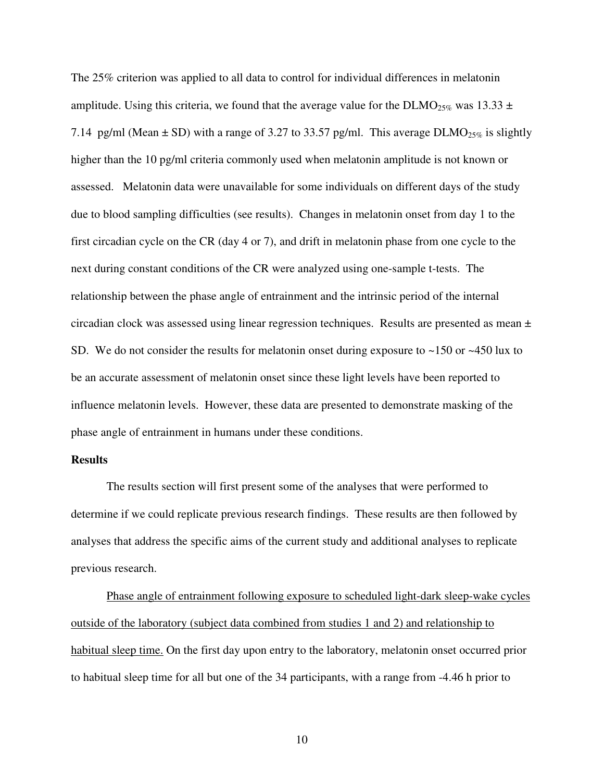The 25% criterion was applied to all data to control for individual differences in melatonin amplitude. Using this criteria, we found that the average value for the DLMO<sub>25%</sub> was 13.33  $\pm$ 7.14 pg/ml (Mean  $\pm$  SD) with a range of 3.27 to 33.57 pg/ml. This average DLMO<sub>25%</sub> is slightly higher than the 10 pg/ml criteria commonly used when melatonin amplitude is not known or assessed. Melatonin data were unavailable for some individuals on different days of the study due to blood sampling difficulties (see results). Changes in melatonin onset from day 1 to the first circadian cycle on the CR (day 4 or 7), and drift in melatonin phase from one cycle to the next during constant conditions of the CR were analyzed using one-sample t-tests. The relationship between the phase angle of entrainment and the intrinsic period of the internal circadian clock was assessed using linear regression techniques. Results are presented as mean ± SD. We do not consider the results for melatonin onset during exposure to ~150 or ~450 lux to be an accurate assessment of melatonin onset since these light levels have been reported to influence melatonin levels. However, these data are presented to demonstrate masking of the phase angle of entrainment in humans under these conditions.

#### **Results**

The results section will first present some of the analyses that were performed to determine if we could replicate previous research findings. These results are then followed by analyses that address the specific aims of the current study and additional analyses to replicate previous research.

 Phase angle of entrainment following exposure to scheduled light-dark sleep-wake cycles outside of the laboratory (subject data combined from studies 1 and 2) and relationship to habitual sleep time. On the first day upon entry to the laboratory, melatonin onset occurred prior to habitual sleep time for all but one of the 34 participants, with a range from -4.46 h prior to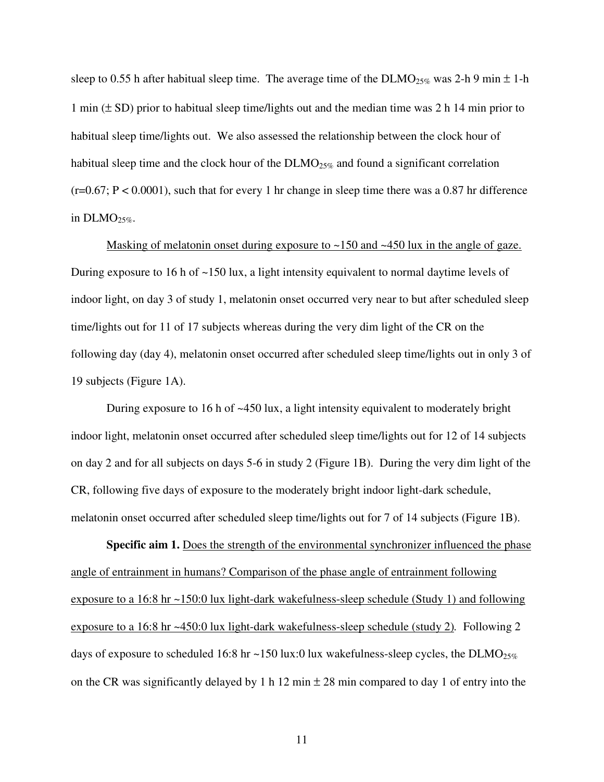sleep to 0.55 h after habitual sleep time. The average time of the  $DLMO_{25\%}$  was 2-h 9 min  $\pm$  1-h 1 min  $(\pm SD)$  prior to habitual sleep time/lights out and the median time was 2 h 14 min prior to habitual sleep time/lights out. We also assessed the relationship between the clock hour of habitual sleep time and the clock hour of the  $DLMO_{25\%}$  and found a significant correlation  $(r=0.67; P < 0.0001)$ , such that for every 1 hr change in sleep time there was a 0.87 hr difference in  $DLMO_{25\%}$ .

Masking of melatonin onset during exposure to  $\sim$ 150 and  $\sim$ 450 lux in the angle of gaze. During exposure to 16 h of ~150 lux, a light intensity equivalent to normal daytime levels of indoor light, on day 3 of study 1, melatonin onset occurred very near to but after scheduled sleep time/lights out for 11 of 17 subjects whereas during the very dim light of the CR on the following day (day 4), melatonin onset occurred after scheduled sleep time/lights out in only 3 of 19 subjects (Figure 1A).

During exposure to 16 h of ~450 lux, a light intensity equivalent to moderately bright indoor light, melatonin onset occurred after scheduled sleep time/lights out for 12 of 14 subjects on day 2 and for all subjects on days 5-6 in study 2 (Figure 1B). During the very dim light of the CR, following five days of exposure to the moderately bright indoor light-dark schedule, melatonin onset occurred after scheduled sleep time/lights out for 7 of 14 subjects (Figure 1B).

**Specific aim 1.** Does the strength of the environmental synchronizer influenced the phase angle of entrainment in humans? Comparison of the phase angle of entrainment following exposure to a 16:8 hr ~150:0 lux light-dark wakefulness-sleep schedule (Study 1) and following exposure to a 16:8 hr ~450:0 lux light-dark wakefulness-sleep schedule (study 2)*.* Following 2 days of exposure to scheduled 16:8 hr ~150 lux:0 lux wakefulness-sleep cycles, the DLMO<sub>25%</sub> on the CR was significantly delayed by 1 h 12 min  $\pm$  28 min compared to day 1 of entry into the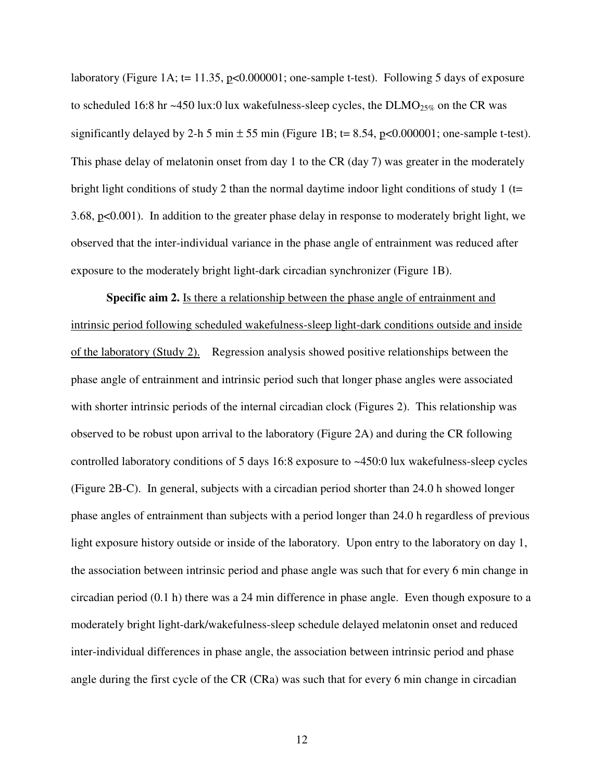laboratory (Figure 1A; t= 11.35, p<0.000001; one-sample t-test). Following 5 days of exposure to scheduled 16:8 hr  $\sim$ 450 lux:0 lux wakefulness-sleep cycles, the DLMO<sub>25%</sub> on the CR was significantly delayed by 2-h 5 min  $\pm$  55 min (Figure 1B; t= 8.54, p<0.000001; one-sample t-test). This phase delay of melatonin onset from day 1 to the CR (day 7) was greater in the moderately bright light conditions of study 2 than the normal daytime indoor light conditions of study 1 ( $t=$ 3.68, p<0.001). In addition to the greater phase delay in response to moderately bright light, we observed that the inter-individual variance in the phase angle of entrainment was reduced after exposure to the moderately bright light-dark circadian synchronizer (Figure 1B).

**Specific aim 2.** Is there a relationship between the phase angle of entrainment and intrinsic period following scheduled wakefulness-sleep light-dark conditions outside and inside of the laboratory (Study 2). Regression analysis showed positive relationships between the phase angle of entrainment and intrinsic period such that longer phase angles were associated with shorter intrinsic periods of the internal circadian clock (Figures 2). This relationship was observed to be robust upon arrival to the laboratory (Figure 2A) and during the CR following controlled laboratory conditions of 5 days 16:8 exposure to ~450:0 lux wakefulness-sleep cycles (Figure 2B-C). In general, subjects with a circadian period shorter than 24.0 h showed longer phase angles of entrainment than subjects with a period longer than 24.0 h regardless of previous light exposure history outside or inside of the laboratory. Upon entry to the laboratory on day 1, the association between intrinsic period and phase angle was such that for every 6 min change in circadian period (0.1 h) there was a 24 min difference in phase angle. Even though exposure to a moderately bright light-dark/wakefulness-sleep schedule delayed melatonin onset and reduced inter-individual differences in phase angle, the association between intrinsic period and phase angle during the first cycle of the CR (CRa) was such that for every 6 min change in circadian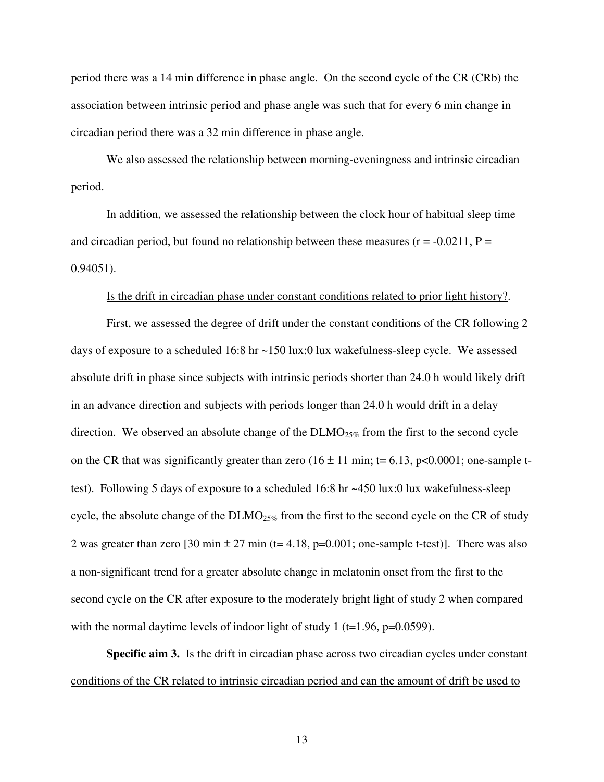period there was a 14 min difference in phase angle. On the second cycle of the CR (CRb) the association between intrinsic period and phase angle was such that for every 6 min change in circadian period there was a 32 min difference in phase angle.

We also assessed the relationship between morning-eveningness and intrinsic circadian period.

In addition, we assessed the relationship between the clock hour of habitual sleep time and circadian period, but found no relationship between these measures ( $r = -0.0211$ ,  $P =$ 0.94051).

#### Is the drift in circadian phase under constant conditions related to prior light history?.

First, we assessed the degree of drift under the constant conditions of the CR following 2 days of exposure to a scheduled 16:8 hr ~150 lux:0 lux wakefulness-sleep cycle. We assessed absolute drift in phase since subjects with intrinsic periods shorter than 24.0 h would likely drift in an advance direction and subjects with periods longer than 24.0 h would drift in a delay direction. We observed an absolute change of the  $DLMO_{25\%}$  from the first to the second cycle on the CR that was significantly greater than zero  $(16 \pm 11 \text{ min}; t= 6.13, p<0.0001;$  one-sample ttest). Following 5 days of exposure to a scheduled 16:8 hr ~450 lux:0 lux wakefulness-sleep cycle, the absolute change of the  $DLMO_{25\%}$  from the first to the second cycle on the CR of study 2 was greater than zero [30 min  $\pm$  27 min (t= 4.18, p=0.001; one-sample t-test)]. There was also a non-significant trend for a greater absolute change in melatonin onset from the first to the second cycle on the CR after exposure to the moderately bright light of study 2 when compared with the normal daytime levels of indoor light of study 1 ( $t=1.96$ ,  $p=0.0599$ ).

**Specific aim 3.** Is the drift in circadian phase across two circadian cycles under constant conditions of the CR related to intrinsic circadian period and can the amount of drift be used to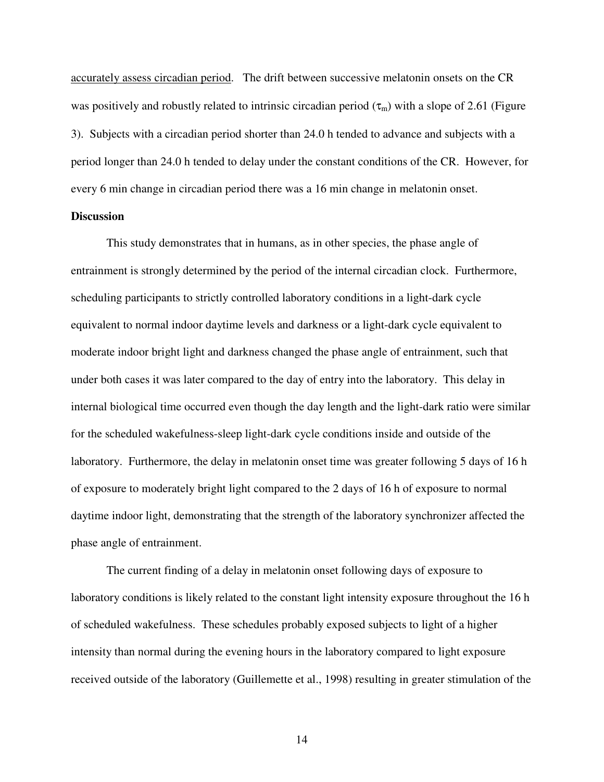accurately assess circadian period. The drift between successive melatonin onsets on the CR was positively and robustly related to intrinsic circadian period  $(\tau_m)$  with a slope of 2.61 (Figure 3). Subjects with a circadian period shorter than 24.0 h tended to advance and subjects with a period longer than 24.0 h tended to delay under the constant conditions of the CR. However, for every 6 min change in circadian period there was a 16 min change in melatonin onset.

### **Discussion**

 This study demonstrates that in humans, as in other species, the phase angle of entrainment is strongly determined by the period of the internal circadian clock. Furthermore, scheduling participants to strictly controlled laboratory conditions in a light-dark cycle equivalent to normal indoor daytime levels and darkness or a light-dark cycle equivalent to moderate indoor bright light and darkness changed the phase angle of entrainment, such that under both cases it was later compared to the day of entry into the laboratory. This delay in internal biological time occurred even though the day length and the light-dark ratio were similar for the scheduled wakefulness-sleep light-dark cycle conditions inside and outside of the laboratory. Furthermore, the delay in melatonin onset time was greater following 5 days of 16 h of exposure to moderately bright light compared to the 2 days of 16 h of exposure to normal daytime indoor light, demonstrating that the strength of the laboratory synchronizer affected the phase angle of entrainment.

The current finding of a delay in melatonin onset following days of exposure to laboratory conditions is likely related to the constant light intensity exposure throughout the 16 h of scheduled wakefulness. These schedules probably exposed subjects to light of a higher intensity than normal during the evening hours in the laboratory compared to light exposure received outside of the laboratory (Guillemette et al., 1998) resulting in greater stimulation of the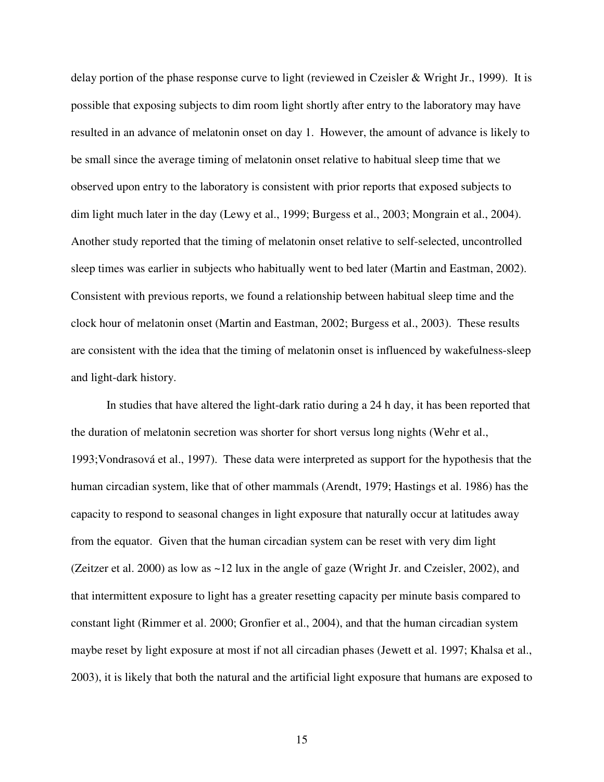delay portion of the phase response curve to light (reviewed in Czeisler & Wright Jr., 1999). It is possible that exposing subjects to dim room light shortly after entry to the laboratory may have resulted in an advance of melatonin onset on day 1. However, the amount of advance is likely to be small since the average timing of melatonin onset relative to habitual sleep time that we observed upon entry to the laboratory is consistent with prior reports that exposed subjects to dim light much later in the day (Lewy et al., 1999; Burgess et al., 2003; Mongrain et al., 2004). Another study reported that the timing of melatonin onset relative to self-selected, uncontrolled sleep times was earlier in subjects who habitually went to bed later (Martin and Eastman, 2002). Consistent with previous reports, we found a relationship between habitual sleep time and the clock hour of melatonin onset (Martin and Eastman, 2002; Burgess et al., 2003). These results are consistent with the idea that the timing of melatonin onset is influenced by wakefulness-sleep and light-dark history.

In studies that have altered the light-dark ratio during a 24 h day, it has been reported that the duration of melatonin secretion was shorter for short versus long nights (Wehr et al., 1993;Vondrasová et al., 1997). These data were interpreted as support for the hypothesis that the human circadian system, like that of other mammals (Arendt, 1979; Hastings et al. 1986) has the capacity to respond to seasonal changes in light exposure that naturally occur at latitudes away from the equator. Given that the human circadian system can be reset with very dim light (Zeitzer et al. 2000) as low as ~12 lux in the angle of gaze (Wright Jr. and Czeisler, 2002), and that intermittent exposure to light has a greater resetting capacity per minute basis compared to constant light (Rimmer et al. 2000; Gronfier et al., 2004), and that the human circadian system maybe reset by light exposure at most if not all circadian phases (Jewett et al. 1997; Khalsa et al., 2003), it is likely that both the natural and the artificial light exposure that humans are exposed to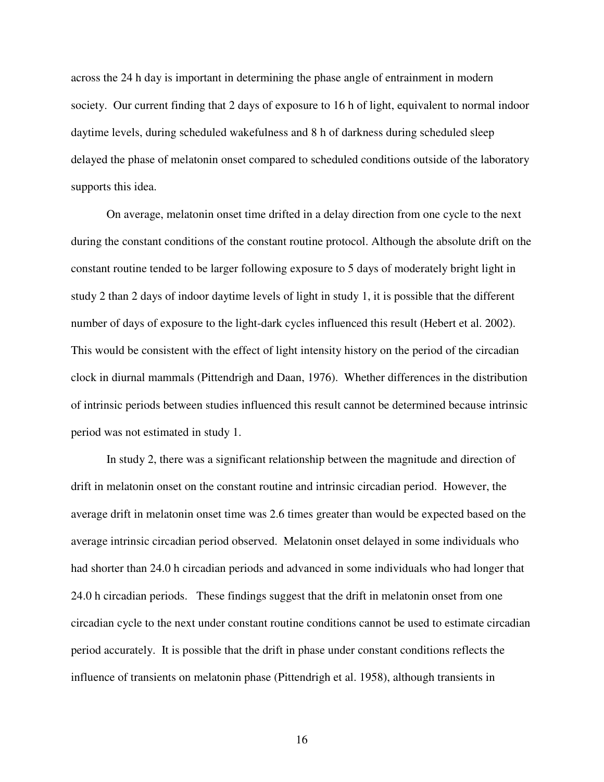across the 24 h day is important in determining the phase angle of entrainment in modern society. Our current finding that 2 days of exposure to 16 h of light, equivalent to normal indoor daytime levels, during scheduled wakefulness and 8 h of darkness during scheduled sleep delayed the phase of melatonin onset compared to scheduled conditions outside of the laboratory supports this idea.

 On average, melatonin onset time drifted in a delay direction from one cycle to the next during the constant conditions of the constant routine protocol. Although the absolute drift on the constant routine tended to be larger following exposure to 5 days of moderately bright light in study 2 than 2 days of indoor daytime levels of light in study 1, it is possible that the different number of days of exposure to the light-dark cycles influenced this result (Hebert et al. 2002). This would be consistent with the effect of light intensity history on the period of the circadian clock in diurnal mammals (Pittendrigh and Daan, 1976). Whether differences in the distribution of intrinsic periods between studies influenced this result cannot be determined because intrinsic period was not estimated in study 1.

 In study 2, there was a significant relationship between the magnitude and direction of drift in melatonin onset on the constant routine and intrinsic circadian period. However, the average drift in melatonin onset time was 2.6 times greater than would be expected based on the average intrinsic circadian period observed. Melatonin onset delayed in some individuals who had shorter than 24.0 h circadian periods and advanced in some individuals who had longer that 24.0 h circadian periods. These findings suggest that the drift in melatonin onset from one circadian cycle to the next under constant routine conditions cannot be used to estimate circadian period accurately. It is possible that the drift in phase under constant conditions reflects the influence of transients on melatonin phase (Pittendrigh et al. 1958), although transients in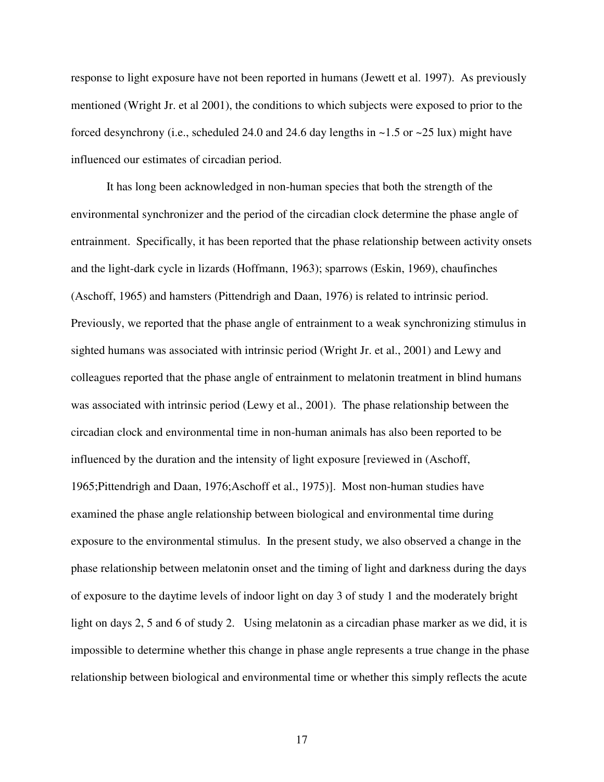response to light exposure have not been reported in humans (Jewett et al. 1997). As previously mentioned (Wright Jr. et al 2001), the conditions to which subjects were exposed to prior to the forced desynchrony (i.e., scheduled 24.0 and 24.6 day lengths in  $\sim$  1.5 or  $\sim$  25 lux) might have influenced our estimates of circadian period.

 It has long been acknowledged in non-human species that both the strength of the environmental synchronizer and the period of the circadian clock determine the phase angle of entrainment. Specifically, it has been reported that the phase relationship between activity onsets and the light-dark cycle in lizards (Hoffmann, 1963); sparrows (Eskin, 1969), chaufinches (Aschoff, 1965) and hamsters (Pittendrigh and Daan, 1976) is related to intrinsic period. Previously, we reported that the phase angle of entrainment to a weak synchronizing stimulus in sighted humans was associated with intrinsic period (Wright Jr. et al., 2001) and Lewy and colleagues reported that the phase angle of entrainment to melatonin treatment in blind humans was associated with intrinsic period (Lewy et al., 2001). The phase relationship between the circadian clock and environmental time in non-human animals has also been reported to be influenced by the duration and the intensity of light exposure [reviewed in (Aschoff, 1965;Pittendrigh and Daan, 1976;Aschoff et al., 1975)]. Most non-human studies have examined the phase angle relationship between biological and environmental time during exposure to the environmental stimulus. In the present study, we also observed a change in the phase relationship between melatonin onset and the timing of light and darkness during the days of exposure to the daytime levels of indoor light on day 3 of study 1 and the moderately bright light on days 2, 5 and 6 of study 2. Using melatonin as a circadian phase marker as we did, it is impossible to determine whether this change in phase angle represents a true change in the phase relationship between biological and environmental time or whether this simply reflects the acute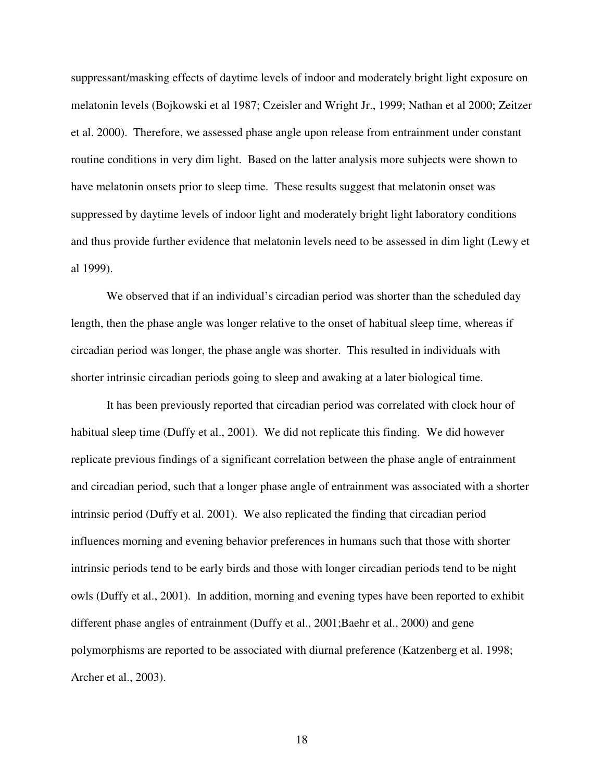suppressant/masking effects of daytime levels of indoor and moderately bright light exposure on melatonin levels (Bojkowski et al 1987; Czeisler and Wright Jr., 1999; Nathan et al 2000; Zeitzer et al. 2000). Therefore, we assessed phase angle upon release from entrainment under constant routine conditions in very dim light. Based on the latter analysis more subjects were shown to have melatonin onsets prior to sleep time. These results suggest that melatonin onset was suppressed by daytime levels of indoor light and moderately bright light laboratory conditions and thus provide further evidence that melatonin levels need to be assessed in dim light (Lewy et al 1999).

We observed that if an individual's circadian period was shorter than the scheduled day length, then the phase angle was longer relative to the onset of habitual sleep time, whereas if circadian period was longer, the phase angle was shorter. This resulted in individuals with shorter intrinsic circadian periods going to sleep and awaking at a later biological time.

It has been previously reported that circadian period was correlated with clock hour of habitual sleep time (Duffy et al., 2001). We did not replicate this finding. We did however replicate previous findings of a significant correlation between the phase angle of entrainment and circadian period, such that a longer phase angle of entrainment was associated with a shorter intrinsic period (Duffy et al. 2001). We also replicated the finding that circadian period influences morning and evening behavior preferences in humans such that those with shorter intrinsic periods tend to be early birds and those with longer circadian periods tend to be night owls (Duffy et al., 2001). In addition, morning and evening types have been reported to exhibit different phase angles of entrainment (Duffy et al., 2001;Baehr et al., 2000) and gene polymorphisms are reported to be associated with diurnal preference (Katzenberg et al. 1998; Archer et al., 2003).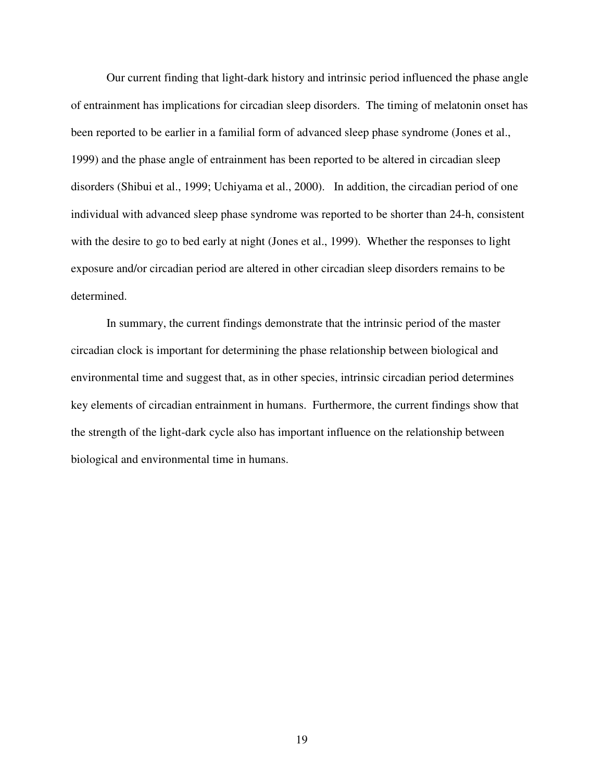Our current finding that light-dark history and intrinsic period influenced the phase angle of entrainment has implications for circadian sleep disorders. The timing of melatonin onset has been reported to be earlier in a familial form of advanced sleep phase syndrome (Jones et al., 1999) and the phase angle of entrainment has been reported to be altered in circadian sleep disorders (Shibui et al., 1999; Uchiyama et al., 2000). In addition, the circadian period of one individual with advanced sleep phase syndrome was reported to be shorter than 24-h, consistent with the desire to go to bed early at night (Jones et al., 1999). Whether the responses to light exposure and/or circadian period are altered in other circadian sleep disorders remains to be determined.

 In summary, the current findings demonstrate that the intrinsic period of the master circadian clock is important for determining the phase relationship between biological and environmental time and suggest that, as in other species, intrinsic circadian period determines key elements of circadian entrainment in humans. Furthermore, the current findings show that the strength of the light-dark cycle also has important influence on the relationship between biological and environmental time in humans.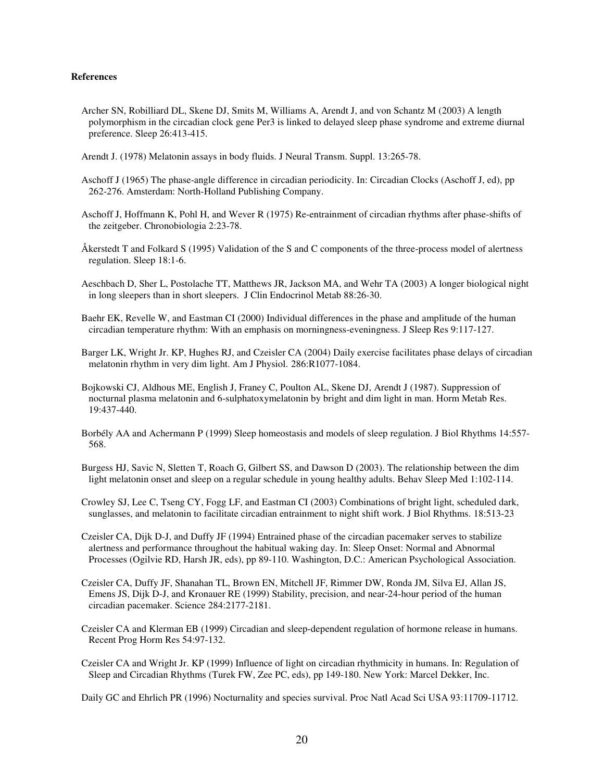#### **References**

- Archer SN, Robilliard DL, Skene DJ, Smits M, Williams A, Arendt J, and von Schantz M (2003) A length polymorphism in the circadian clock gene Per3 is linked to delayed sleep phase syndrome and extreme diurnal preference. Sleep 26:413-415.
- Arendt J. (1978) Melatonin assays in body fluids. J Neural Transm. Suppl. 13:265-78.
- Aschoff J (1965) The phase-angle difference in circadian periodicity. In: Circadian Clocks (Aschoff J, ed), pp 262-276. Amsterdam: North-Holland Publishing Company.
- Aschoff J, Hoffmann K, Pohl H, and Wever R (1975) Re-entrainment of circadian rhythms after phase-shifts of the zeitgeber. Chronobiologia 2:23-78.
- Åkerstedt T and Folkard S (1995) Validation of the S and C components of the three-process model of alertness regulation. Sleep 18:1-6.
- Aeschbach D, Sher L, Postolache TT, Matthews JR, Jackson MA, and Wehr TA (2003) A longer biological night in long sleepers than in short sleepers. J Clin Endocrinol Metab 88:26-30.
- Baehr EK, Revelle W, and Eastman CI (2000) Individual differences in the phase and amplitude of the human circadian temperature rhythm: With an emphasis on morningness-eveningness. J Sleep Res 9:117-127.
- Barger LK, Wright Jr. KP, Hughes RJ, and Czeisler CA (2004) Daily exercise facilitates phase delays of circadian melatonin rhythm in very dim light. Am J Physiol. 286:R1077-1084.
- Bojkowski CJ, Aldhous ME, English J, Franey C, Poulton AL, Skene DJ, Arendt J (1987). Suppression of nocturnal plasma melatonin and 6-sulphatoxymelatonin by bright and dim light in man. Horm Metab Res. 19:437-440.
- Borbély AA and Achermann P (1999) Sleep homeostasis and models of sleep regulation. J Biol Rhythms 14:557- 568.
- Burgess HJ, Savic N, Sletten T, Roach G, Gilbert SS, and Dawson D (2003). The relationship between the dim light melatonin onset and sleep on a regular schedule in young healthy adults. Behav Sleep Med 1:102-114.
- Crowley SJ, Lee C, Tseng CY, Fogg LF, and Eastman CI (2003) Combinations of bright light, scheduled dark, sunglasses, and melatonin to facilitate circadian entrainment to night shift work. J Biol Rhythms. 18:513-23
- Czeisler CA, Dijk D-J, and Duffy JF (1994) Entrained phase of the circadian pacemaker serves to stabilize alertness and performance throughout the habitual waking day. In: Sleep Onset: Normal and Abnormal Processes (Ogilvie RD, Harsh JR, eds), pp 89-110. Washington, D.C.: American Psychological Association.
- Czeisler CA, Duffy JF, Shanahan TL, Brown EN, Mitchell JF, Rimmer DW, Ronda JM, Silva EJ, Allan JS, Emens JS, Dijk D-J, and Kronauer RE (1999) Stability, precision, and near-24-hour period of the human circadian pacemaker. Science 284:2177-2181.
- Czeisler CA and Klerman EB (1999) Circadian and sleep-dependent regulation of hormone release in humans. Recent Prog Horm Res 54:97-132.
- Czeisler CA and Wright Jr. KP (1999) Influence of light on circadian rhythmicity in humans. In: Regulation of Sleep and Circadian Rhythms (Turek FW, Zee PC, eds), pp 149-180. New York: Marcel Dekker, Inc.

Daily GC and Ehrlich PR (1996) Nocturnality and species survival. Proc Natl Acad Sci USA 93:11709-11712.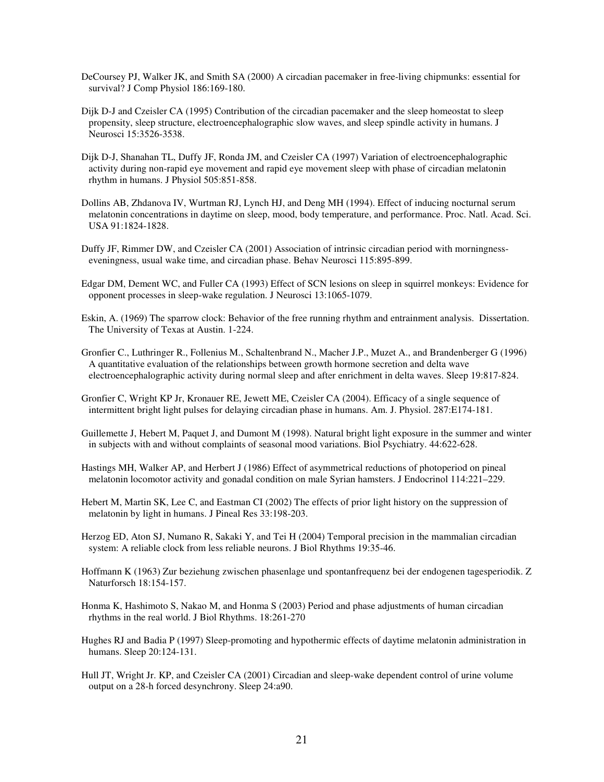- DeCoursey PJ, Walker JK, and Smith SA (2000) A circadian pacemaker in free-living chipmunks: essential for survival? J Comp Physiol 186:169-180.
- Dijk D-J and Czeisler CA (1995) Contribution of the circadian pacemaker and the sleep homeostat to sleep propensity, sleep structure, electroencephalographic slow waves, and sleep spindle activity in humans. J Neurosci 15:3526-3538.
- Dijk D-J, Shanahan TL, Duffy JF, Ronda JM, and Czeisler CA (1997) Variation of electroencephalographic activity during non-rapid eye movement and rapid eye movement sleep with phase of circadian melatonin rhythm in humans. J Physiol 505:851-858.
- Dollins AB, Zhdanova IV, Wurtman RJ, Lynch HJ, and Deng MH (1994). Effect of inducing nocturnal serum melatonin concentrations in daytime on sleep, mood, body temperature, and performance. Proc. Natl. Acad. Sci. USA 91:1824-1828.
- Duffy JF, Rimmer DW, and Czeisler CA (2001) Association of intrinsic circadian period with morningnesseveningness, usual wake time, and circadian phase. Behav Neurosci 115:895-899.
- Edgar DM, Dement WC, and Fuller CA (1993) Effect of SCN lesions on sleep in squirrel monkeys: Evidence for opponent processes in sleep-wake regulation. J Neurosci 13:1065-1079.
- Eskin, A. (1969) The sparrow clock: Behavior of the free running rhythm and entrainment analysis. Dissertation. The University of Texas at Austin. 1-224.
- Gronfier C., Luthringer R., Follenius M., Schaltenbrand N., Macher J.P., Muzet A., and Brandenberger G (1996) A quantitative evaluation of the relationships between growth hormone secretion and delta wave electroencephalographic activity during normal sleep and after enrichment in delta waves. Sleep 19:817-824.
- Gronfier C, Wright KP Jr, Kronauer RE, Jewett ME, Czeisler CA (2004). Efficacy of a single sequence of intermittent bright light pulses for delaying circadian phase in humans. Am. J. Physiol. 287:E174-181.
- Guillemette J, Hebert M, Paquet J, and Dumont M (1998). Natural bright light exposure in the summer and winter in subjects with and without complaints of seasonal mood variations. Biol Psychiatry. 44:622-628.
- Hastings MH, Walker AP, and Herbert J (1986) Effect of asymmetrical reductions of photoperiod on pineal melatonin locomotor activity and gonadal condition on male Syrian hamsters. J Endocrinol 114:221–229.
- Hebert M, Martin SK, Lee C, and Eastman CI (2002) The effects of prior light history on the suppression of melatonin by light in humans. J Pineal Res 33:198-203.
- Herzog ED, Aton SJ, Numano R, Sakaki Y, and Tei H (2004) Temporal precision in the mammalian circadian system: A reliable clock from less reliable neurons. J Biol Rhythms 19:35-46.
- Hoffmann K (1963) Zur beziehung zwischen phasenlage und spontanfrequenz bei der endogenen tagesperiodik. Z Naturforsch 18:154-157.
- Honma K, Hashimoto S, Nakao M, and Honma S (2003) Period and phase adjustments of human circadian rhythms in the real world. J Biol Rhythms. 18:261-270
- Hughes RJ and Badia P (1997) Sleep-promoting and hypothermic effects of daytime melatonin administration in humans. Sleep 20:124-131.
- Hull JT, Wright Jr. KP, and Czeisler CA (2001) Circadian and sleep-wake dependent control of urine volume output on a 28-h forced desynchrony. Sleep 24:a90.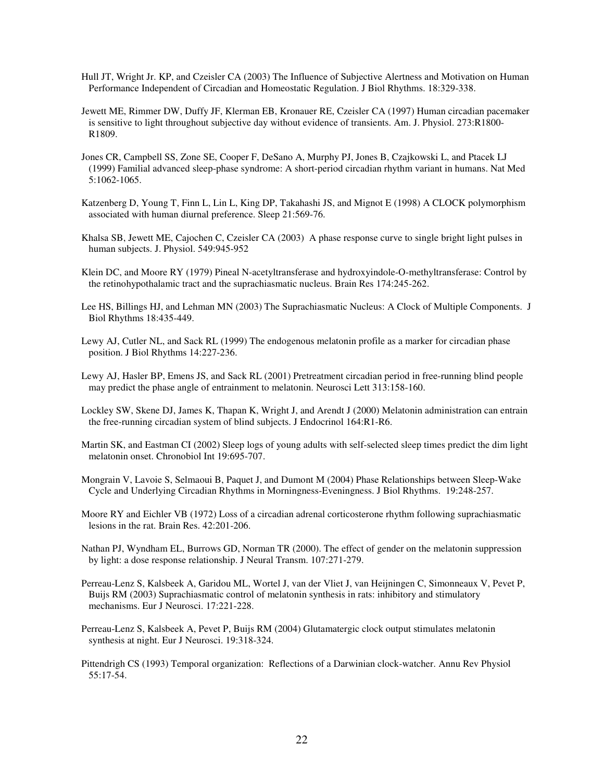- Hull JT, Wright Jr. KP, and Czeisler CA (2003) The Influence of Subjective Alertness and Motivation on Human Performance Independent of Circadian and Homeostatic Regulation. J Biol Rhythms. 18:329-338.
- Jewett ME, Rimmer DW, Duffy JF, Klerman EB, Kronauer RE, Czeisler CA (1997) Human circadian pacemaker is sensitive to light throughout subjective day without evidence of transients. Am. J. Physiol. 273:R1800- R1809.
- Jones CR, Campbell SS, Zone SE, Cooper F, DeSano A, Murphy PJ, Jones B, Czajkowski L, and Ptacek LJ (1999) Familial advanced sleep-phase syndrome: A short-period circadian rhythm variant in humans. Nat Med 5:1062-1065.
- Katzenberg D, Young T, Finn L, Lin L, King DP, Takahashi JS, and Mignot E (1998) A CLOCK polymorphism associated with human diurnal preference. Sleep 21:569-76.
- Khalsa SB, Jewett ME, Cajochen C, Czeisler CA (2003) A phase response curve to single bright light pulses in human subjects. J. Physiol. 549:945-952
- Klein DC, and Moore RY (1979) Pineal N-acetyltransferase and hydroxyindole-O-methyltransferase: Control by the retinohypothalamic tract and the suprachiasmatic nucleus. Brain Res 174:245-262.
- Lee HS, Billings HJ, and Lehman MN (2003) The Suprachiasmatic Nucleus: A Clock of Multiple Components. J Biol Rhythms 18:435-449.
- Lewy AJ, Cutler NL, and Sack RL (1999) The endogenous melatonin profile as a marker for circadian phase position. J Biol Rhythms 14:227-236.
- Lewy AJ, Hasler BP, Emens JS, and Sack RL (2001) Pretreatment circadian period in free-running blind people may predict the phase angle of entrainment to melatonin. Neurosci Lett 313:158-160.
- Lockley SW, Skene DJ, James K, Thapan K, Wright J, and Arendt J (2000) Melatonin administration can entrain the free-running circadian system of blind subjects. J Endocrinol 164:R1-R6.
- Martin SK, and Eastman CI (2002) Sleep logs of young adults with self-selected sleep times predict the dim light melatonin onset. Chronobiol Int 19:695-707.
- Mongrain V, Lavoie S, Selmaoui B, Paquet J, and Dumont M (2004) Phase Relationships between Sleep-Wake Cycle and Underlying Circadian Rhythms in Morningness-Eveningness. J Biol Rhythms. 19:248-257.
- Moore RY and Eichler VB (1972) Loss of a circadian adrenal corticosterone rhythm following suprachiasmatic lesions in the rat. Brain Res. 42:201-206.
- Nathan PJ, Wyndham EL, Burrows GD, Norman TR (2000). The effect of gender on the melatonin suppression by light: a dose response relationship. J Neural Transm. 107:271-279.
- Perreau-Lenz S, Kalsbeek A, Garidou ML, Wortel J, van der Vliet J, van Heijningen C, Simonneaux V, Pevet P, Buijs RM (2003) Suprachiasmatic control of melatonin synthesis in rats: inhibitory and stimulatory mechanisms. Eur J Neurosci. 17:221-228.
- Perreau-Lenz S, Kalsbeek A, Pevet P, Buijs RM (2004) Glutamatergic clock output stimulates melatonin synthesis at night. Eur J Neurosci. 19:318-324.
- Pittendrigh CS (1993) Temporal organization: Reflections of a Darwinian clock-watcher. Annu Rev Physiol 55:17-54.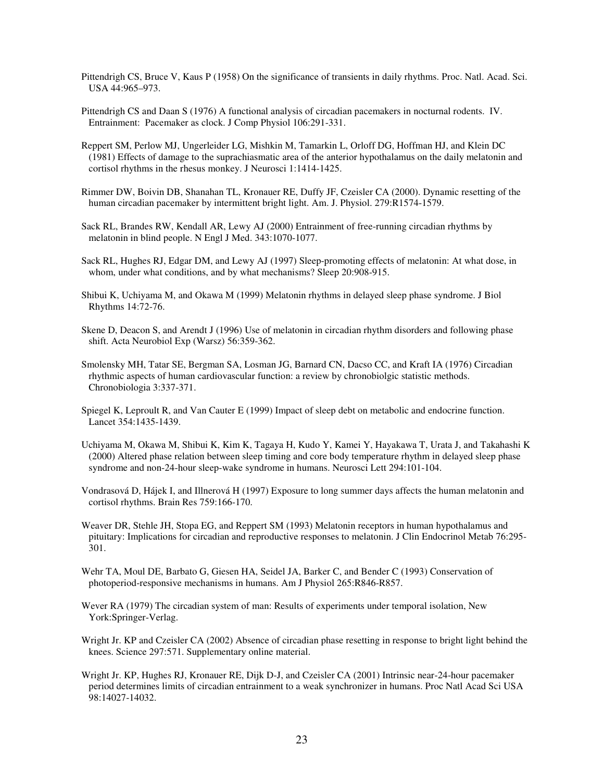- Pittendrigh CS, Bruce V, Kaus P (1958) On the significance of transients in daily rhythms. Proc. Natl. Acad. Sci. USA 44:965–973.
- Pittendrigh CS and Daan S (1976) A functional analysis of circadian pacemakers in nocturnal rodents. IV. Entrainment: Pacemaker as clock. J Comp Physiol 106:291-331.
- Reppert SM, Perlow MJ, Ungerleider LG, Mishkin M, Tamarkin L, Orloff DG, Hoffman HJ, and Klein DC (1981) Effects of damage to the suprachiasmatic area of the anterior hypothalamus on the daily melatonin and cortisol rhythms in the rhesus monkey. J Neurosci 1:1414-1425.
- Rimmer DW, Boivin DB, Shanahan TL, Kronauer RE, Duffy JF, Czeisler CA (2000). Dynamic resetting of the human circadian pacemaker by intermittent bright light. Am. J. Physiol. 279:R1574-1579.
- Sack RL, Brandes RW, Kendall AR, Lewy AJ (2000) Entrainment of free-running circadian rhythms by melatonin in blind people. N Engl J Med. 343:1070-1077.
- Sack RL, Hughes RJ, Edgar DM, and Lewy AJ (1997) Sleep-promoting effects of melatonin: At what dose, in whom, under what conditions, and by what mechanisms? Sleep 20:908-915.
- Shibui K, Uchiyama M, and Okawa M (1999) Melatonin rhythms in delayed sleep phase syndrome. J Biol Rhythms 14:72-76.
- Skene D, Deacon S, and Arendt J (1996) Use of melatonin in circadian rhythm disorders and following phase shift. Acta Neurobiol Exp (Warsz) 56:359-362.
- Smolensky MH, Tatar SE, Bergman SA, Losman JG, Barnard CN, Dacso CC, and Kraft IA (1976) Circadian rhythmic aspects of human cardiovascular function: a review by chronobiolgic statistic methods. Chronobiologia 3:337-371.
- Spiegel K, Leproult R, and Van Cauter E (1999) Impact of sleep debt on metabolic and endocrine function. Lancet 354:1435-1439.
- Uchiyama M, Okawa M, Shibui K, Kim K, Tagaya H, Kudo Y, Kamei Y, Hayakawa T, Urata J, and Takahashi K (2000) Altered phase relation between sleep timing and core body temperature rhythm in delayed sleep phase syndrome and non-24-hour sleep-wake syndrome in humans. Neurosci Lett 294:101-104.
- Vondrasová D, Hájek I, and Illnerová H (1997) Exposure to long summer days affects the human melatonin and cortisol rhythms. Brain Res 759:166-170.
- Weaver DR, Stehle JH, Stopa EG, and Reppert SM (1993) Melatonin receptors in human hypothalamus and pituitary: Implications for circadian and reproductive responses to melatonin. J Clin Endocrinol Metab 76:295- 301.
- Wehr TA, Moul DE, Barbato G, Giesen HA, Seidel JA, Barker C, and Bender C (1993) Conservation of photoperiod-responsive mechanisms in humans. Am J Physiol 265:R846-R857.
- Wever RA (1979) The circadian system of man: Results of experiments under temporal isolation, New York:Springer-Verlag.
- Wright Jr. KP and Czeisler CA (2002) Absence of circadian phase resetting in response to bright light behind the knees. Science 297:571. Supplementary online material.
- Wright Jr. KP, Hughes RJ, Kronauer RE, Dijk D-J, and Czeisler CA (2001) Intrinsic near-24-hour pacemaker period determines limits of circadian entrainment to a weak synchronizer in humans. Proc Natl Acad Sci USA 98:14027-14032.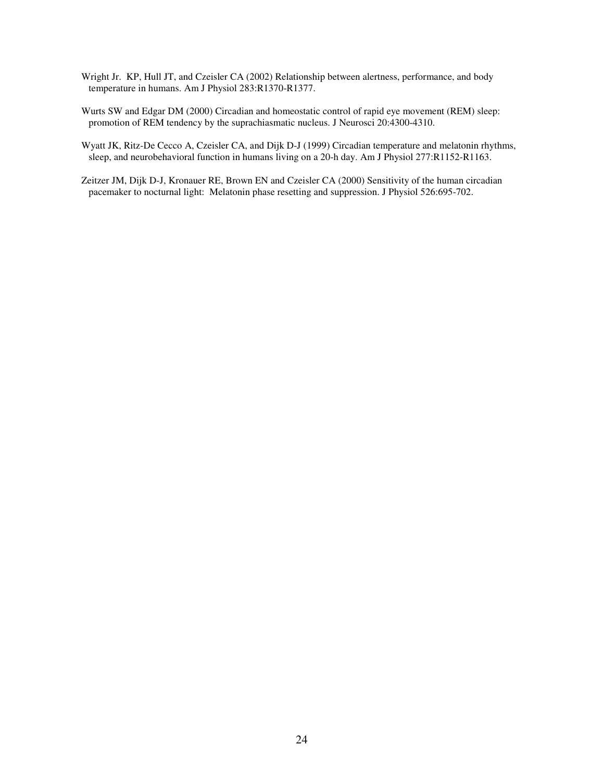- Wright Jr. KP, Hull JT, and Czeisler CA (2002) Relationship between alertness, performance, and body temperature in humans. Am J Physiol 283:R1370-R1377.
- Wurts SW and Edgar DM (2000) Circadian and homeostatic control of rapid eye movement (REM) sleep: promotion of REM tendency by the suprachiasmatic nucleus. J Neurosci 20:4300-4310.
- Wyatt JK, Ritz-De Cecco A, Czeisler CA, and Dijk D-J (1999) Circadian temperature and melatonin rhythms, sleep, and neurobehavioral function in humans living on a 20-h day. Am J Physiol 277:R1152-R1163.
- Zeitzer JM, Dijk D-J, Kronauer RE, Brown EN and Czeisler CA (2000) Sensitivity of the human circadian pacemaker to nocturnal light: Melatonin phase resetting and suppression. J Physiol 526:695-702.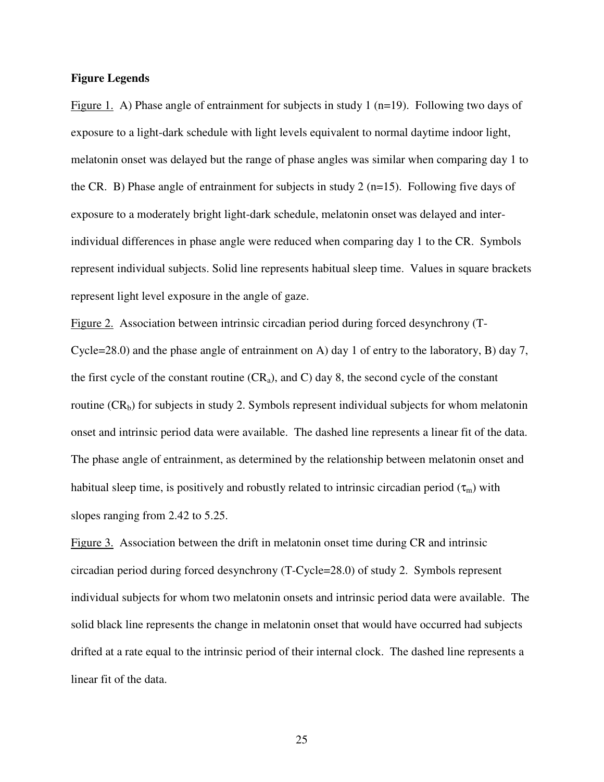### **Figure Legends**

Figure 1. A) Phase angle of entrainment for subjects in study 1 (n=19). Following two days of exposure to a light-dark schedule with light levels equivalent to normal daytime indoor light, melatonin onset was delayed but the range of phase angles was similar when comparing day 1 to the CR. B) Phase angle of entrainment for subjects in study 2 ( $n=15$ ). Following five days of exposure to a moderately bright light-dark schedule, melatonin onset was delayed and interindividual differences in phase angle were reduced when comparing day 1 to the CR. Symbols represent individual subjects. Solid line represents habitual sleep time. Values in square brackets represent light level exposure in the angle of gaze.

Figure 2. Association between intrinsic circadian period during forced desynchrony (T-Cycle=28.0) and the phase angle of entrainment on A) day 1 of entry to the laboratory, B) day 7, the first cycle of the constant routine  $(CR_a)$ , and C) day 8, the second cycle of the constant routine  $(CR_b)$  for subjects in study 2. Symbols represent individual subjects for whom melatonin onset and intrinsic period data were available. The dashed line represents a linear fit of the data. The phase angle of entrainment, as determined by the relationship between melatonin onset and habitual sleep time, is positively and robustly related to intrinsic circadian period  $(\tau_m)$  with slopes ranging from 2.42 to 5.25.

Figure 3. Association between the drift in melatonin onset time during CR and intrinsic circadian period during forced desynchrony (T-Cycle=28.0) of study 2. Symbols represent individual subjects for whom two melatonin onsets and intrinsic period data were available. The solid black line represents the change in melatonin onset that would have occurred had subjects drifted at a rate equal to the intrinsic period of their internal clock. The dashed line represents a linear fit of the data.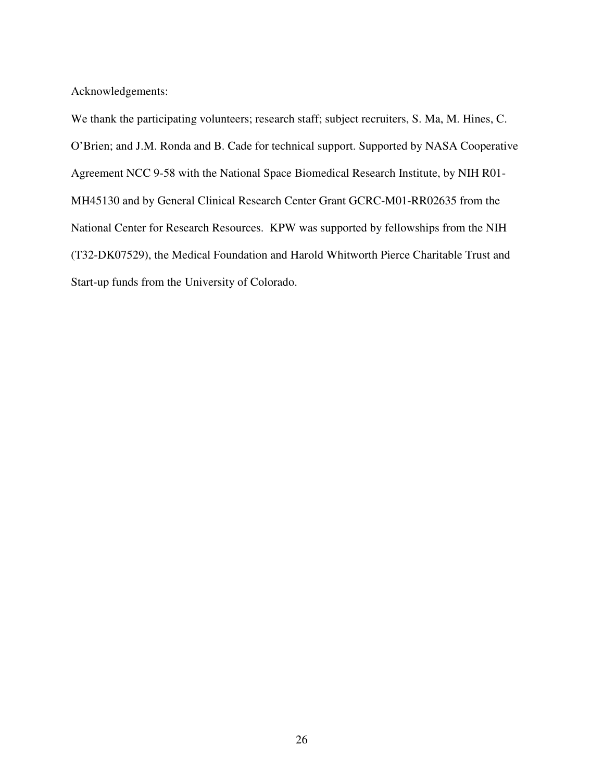Acknowledgements:

We thank the participating volunteers; research staff; subject recruiters, S. Ma, M. Hines, C. O'Brien; and J.M. Ronda and B. Cade for technical support. Supported by NASA Cooperative Agreement NCC 9-58 with the National Space Biomedical Research Institute, by NIH R01- MH45130 and by General Clinical Research Center Grant GCRC-M01-RR02635 from the National Center for Research Resources. KPW was supported by fellowships from the NIH (T32-DK07529), the Medical Foundation and Harold Whitworth Pierce Charitable Trust and Start-up funds from the University of Colorado.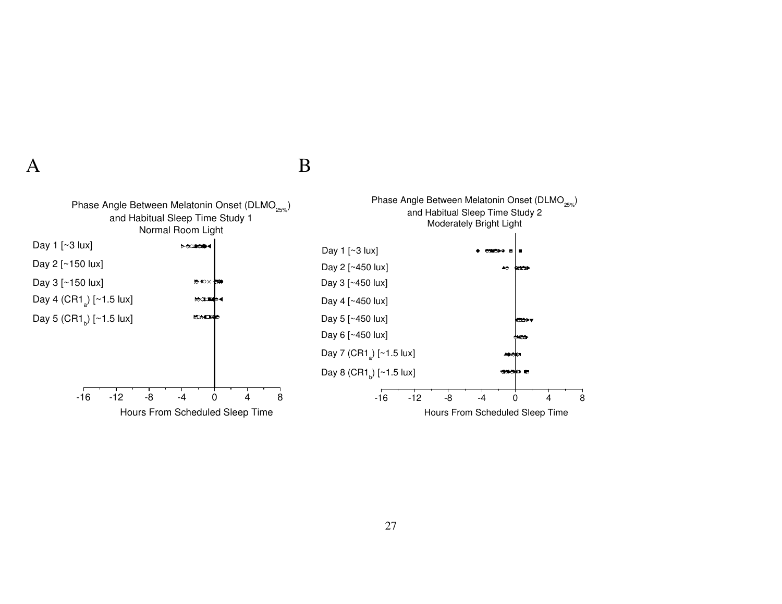$\mathbf A$  B

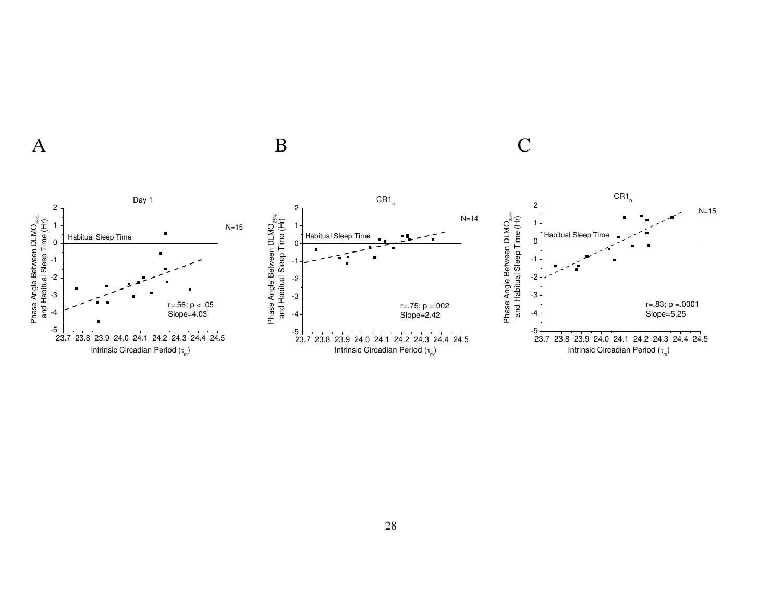

 $\mathbf A$  B C